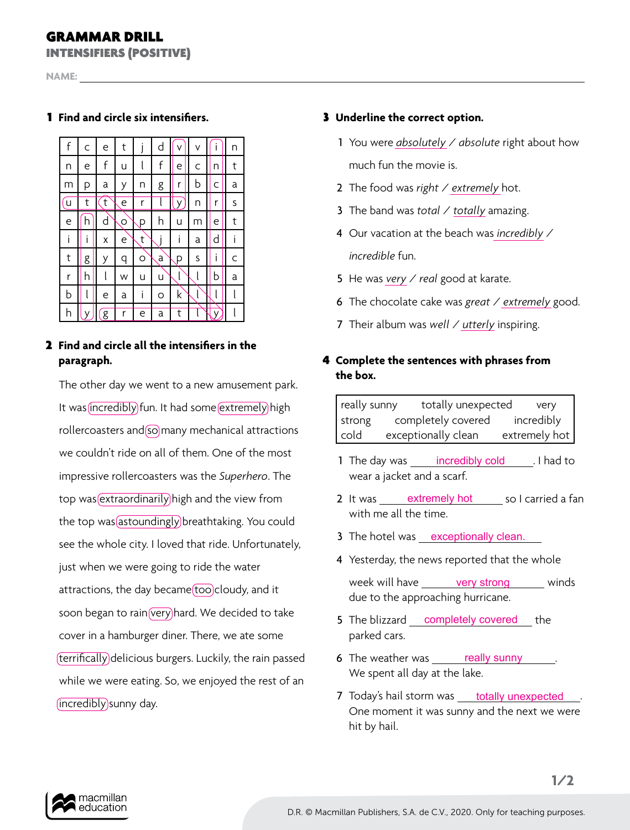## GRAMMAR DRILL

INTENSIFIERS (POSITIVE)

**NAME:** 

### 1 **Find and circle six intensifiers.**



### 2 **Find and circle all the intensifiers in the paragraph.**

The other day we went to a new amusement park. It was incredibly fun. It had some extremely high rollercoasters and so many mechanical attractions we couldn't ride on all of them. One of the most impressive rollercoasters was the *Superhero*. The top was extraordinarily high and the view from the top was astoundingly breathtaking. You could see the whole city. I loved that ride. Unfortunately, just when we were going to ride the water attractions, the day became (too cloudy, and it soon began to rain very hard. We decided to take cover in a hamburger diner. There, we ate some terrifically delicious burgers. Luckily, the rain passed while we were eating. So, we enjoyed the rest of an (incredibly) sunny day.

#### 3 **Underline the correct option.**

- 1 You were *absolutely / absolute* right about how much fun the movie is.
- 2 The food was *right / extremely* hot.
- 3 The band was *total* / *totally* amazing.
- 4 Our vacation at the beach was *incredibly* / *incredible* fun.
- 5 He was *very* / *real* good at karate.
- 6 The chocolate cake was *great* / *extremely* good.
- 7 Their album was *well* / *utterly* inspiring.

## 4 **Complete the sentences with phrases from the box.**

really sunny totally unexpected very strong completely covered incredibly cold exceptionally clean extremely hot

- 1 The day was *incredibly cold* [1]. I had to wear a jacket and a scarf.
- 2 It was <u>extremely hot</u> so I carried a fan with me all the time.
- 3 The hotel was <u>exceptionally clean</u>.
- 4 Yesterday, the news reported that the whole week will have very strong winds due to the approaching hurricane.
- 5 The blizzard **completely covered** the parked cars.
- 6 The weather was really sunny ... We spent all day at the lake.
- 7 Today's hail storm was **totally unexpected** One moment it was sunny and the next we were hit by hail.